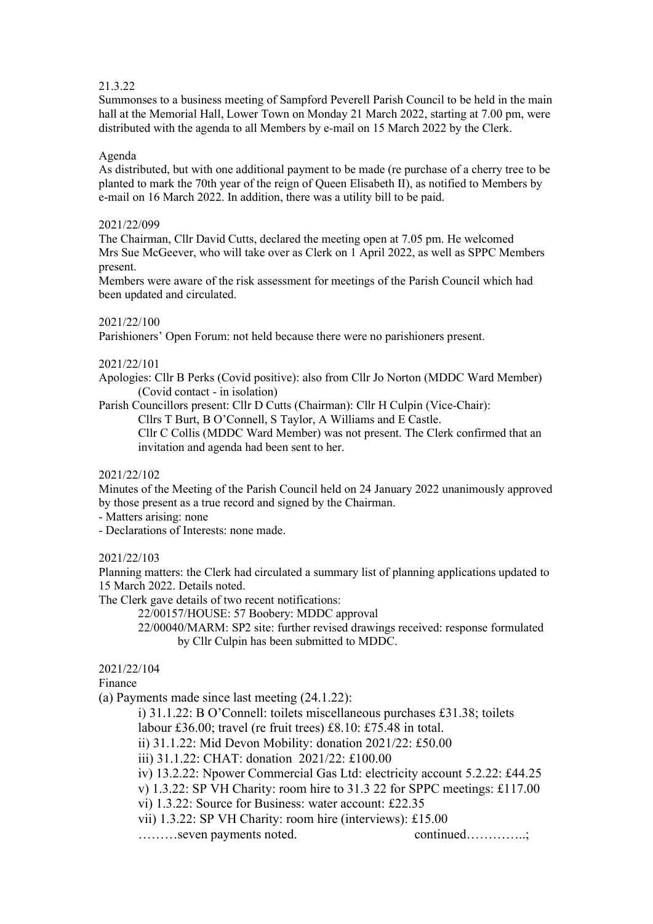## 21.3.22

Summonses to a business meeting of Sampford Peverell Parish Council to be held in the main hall at the Memorial Hall, Lower Town on Monday 21 March 2022, starting at 7.00 pm, were distributed with the agenda to all Members by e-mail on 15 March 2022 by the Clerk.

# Agenda

As distributed, but with one additional payment to be made (re purchase of a cherry tree to be planted to mark the 70th year of the reign of Queen Elisabeth II), as notified to Members by e-mail on 16 March 2022. In addition, there was a utility bill to be paid.

# 2021/22/099

The Chairman, Cllr David Cutts, declared the meeting open at 7.05 pm. He welcomed Mrs Sue McGeever, who will take over as Clerk on 1 April 2022, as well as SPPC Members present.

Members were aware of the risk assessment for meetings of the Parish Council which had been updated and circulated.

# 2021/22/100

Parishioners' Open Forum: not held because there were no parishioners present.

# 2021/22/101

Apologies: Cllr B Perks (Covid positive): also from Cllr Jo Norton (MDDC Ward Member) (Covid contact - in isolation)

Parish Councillors present: Cllr D Cutts (Chairman): Cllr H Culpin (Vice-Chair):

Cllrs T Burt, B O'Connell, S Taylor, A Williams and E Castle.

 Cllr C Collis (MDDC Ward Member) was not present. The Clerk confirmed that an invitation and agenda had been sent to her.

## 2021/22/102

Minutes of the Meeting of the Parish Council held on 24 January 2022 unanimously approved by those present as a true record and signed by the Chairman.

- Matters arising: none

- Declarations of Interests: none made.

# 2021/22/103

Planning matters: the Clerk had circulated a summary list of planning applications updated to 15 March 2022. Details noted.

The Clerk gave details of two recent notifications:

22/00157/HOUSE: 57 Boobery: MDDC approval

 22/00040/MARM: SP2 site: further revised drawings received: response formulated by Cllr Culpin has been submitted to MDDC.

# 2021/22/104

Finance

(a) Payments made since last meeting (24.1.22):

i) 31.1.22: B O'Connell: toilets miscellaneous purchases £31.38; toilets

labour £36.00; travel (re fruit trees) £8.10: £75.48 in total.

ii) 31.1.22: Mid Devon Mobility: donation 2021/22: £50.00

iii) 31.1.22: CHAT: donation 2021/22: £100.00

iv) 13.2.22: Npower Commercial Gas Ltd: electricity account 5.2.22: £44.25

v) 1.3.22: SP VH Charity: room hire to 31.3 22 for SPPC meetings: £117.00

vi) 1.3.22: Source for Business: water account: £22.35

vii) 1.3.22: SP VH Charity: room hire (interviews): £15.00

………seven payments noted. continued…………..;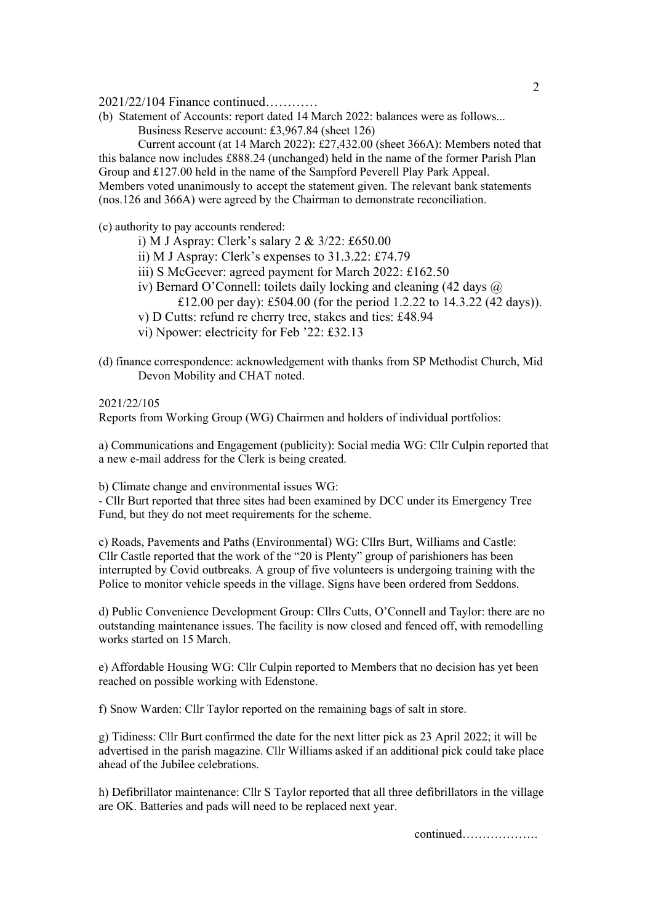2021/22/104 Finance continued…………

- (b) Statement of Accounts: report dated 14 March 2022: balances were as follows...
	- Business Reserve account: £3,967.84 (sheet 126)

 Current account (at 14 March 2022): £27,432.00 (sheet 366A): Members noted that this balance now includes £888.24 (unchanged) held in the name of the former Parish Plan Group and £127.00 held in the name of the Sampford Peverell Play Park Appeal. Members voted unanimously to accept the statement given. The relevant bank statements (nos.126 and 366A) were agreed by the Chairman to demonstrate reconciliation.

(c) authority to pay accounts rendered:

- i) M J Aspray: Clerk's salary 2 & 3/22: £650.00
- ii) M J Aspray: Clerk's expenses to 31.3.22: £74.79
- iii) S McGeever: agreed payment for March 2022: £162.50
- iv) Bernard O'Connell: toilets daily locking and cleaning (42 days @ £12.00 per day): £504.00 (for the period 1.2.22 to 14.3.22 (42 days)).
- v) D Cutts: refund re cherry tree, stakes and ties: £48.94
- vi) Npower: electricity for Feb '22: £32.13
- (d) finance correspondence: acknowledgement with thanks from SP Methodist Church, Mid Devon Mobility and CHAT noted.

2021/22/105 Reports from Working Group (WG) Chairmen and holders of individual portfolios:

a) Communications and Engagement (publicity): Social media WG: Cllr Culpin reported that a new e-mail address for the Clerk is being created.

b) Climate change and environmental issues WG:

- Cllr Burt reported that three sites had been examined by DCC under its Emergency Tree Fund, but they do not meet requirements for the scheme.

c) Roads, Pavements and Paths (Environmental) WG: Cllrs Burt, Williams and Castle: Cllr Castle reported that the work of the "20 is Plenty" group of parishioners has been interrupted by Covid outbreaks. A group of five volunteers is undergoing training with the Police to monitor vehicle speeds in the village. Signs have been ordered from Seddons.

d) Public Convenience Development Group: Cllrs Cutts, O'Connell and Taylor: there are no outstanding maintenance issues. The facility is now closed and fenced off, with remodelling works started on 15 March.

e) Affordable Housing WG: Cllr Culpin reported to Members that no decision has yet been reached on possible working with Edenstone.

f) Snow Warden: Cllr Taylor reported on the remaining bags of salt in store.

g) Tidiness: Cllr Burt confirmed the date for the next litter pick as 23 April 2022; it will be advertised in the parish magazine. Cllr Williams asked if an additional pick could take place ahead of the Jubilee celebrations.

h) Defibrillator maintenance: Cllr S Taylor reported that all three defibrillators in the village are OK. Batteries and pads will need to be replaced next year.

continued……………….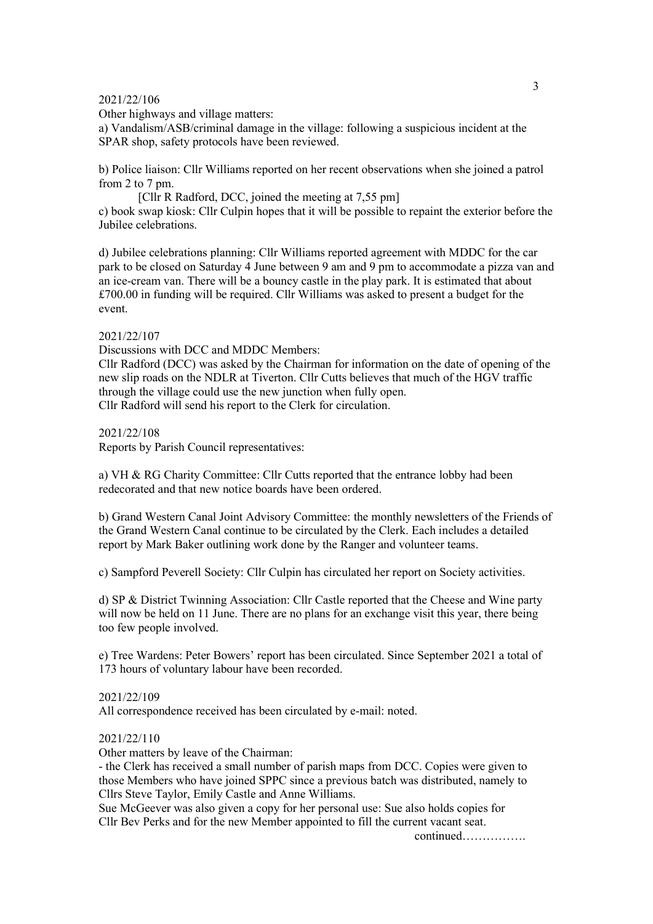#### 2021/22/106

Other highways and village matters:

a) Vandalism/ASB/criminal damage in the village: following a suspicious incident at the SPAR shop, safety protocols have been reviewed.

b) Police liaison: Cllr Williams reported on her recent observations when she joined a patrol from 2 to 7 pm.

[Cllr R Radford, DCC, joined the meeting at 7,55 pm] c) book swap kiosk: Cllr Culpin hopes that it will be possible to repaint the exterior before the Jubilee celebrations.

d) Jubilee celebrations planning: Cllr Williams reported agreement with MDDC for the car park to be closed on Saturday 4 June between 9 am and 9 pm to accommodate a pizza van and an ice-cream van. There will be a bouncy castle in the play park. It is estimated that about £700.00 in funding will be required. Cllr Williams was asked to present a budget for the event.

#### 2021/22/107

Discussions with DCC and MDDC Members:

Cllr Radford (DCC) was asked by the Chairman for information on the date of opening of the new slip roads on the NDLR at Tiverton. Cllr Cutts believes that much of the HGV traffic through the village could use the new junction when fully open. Cllr Radford will send his report to the Clerk for circulation.

2021/22/108

Reports by Parish Council representatives:

a) VH & RG Charity Committee: Cllr Cutts reported that the entrance lobby had been redecorated and that new notice boards have been ordered.

b) Grand Western Canal Joint Advisory Committee: the monthly newsletters of the Friends of the Grand Western Canal continue to be circulated by the Clerk. Each includes a detailed report by Mark Baker outlining work done by the Ranger and volunteer teams.

c) Sampford Peverell Society: Cllr Culpin has circulated her report on Society activities.

d) SP & District Twinning Association: Cllr Castle reported that the Cheese and Wine party will now be held on 11 June. There are no plans for an exchange visit this year, there being too few people involved.

e) Tree Wardens: Peter Bowers' report has been circulated. Since September 2021 a total of 173 hours of voluntary labour have been recorded.

### 2021/22/109

All correspondence received has been circulated by e-mail: noted.

### 2021/22/110

Other matters by leave of the Chairman:

- the Clerk has received a small number of parish maps from DCC. Copies were given to those Members who have joined SPPC since a previous batch was distributed, namely to Cllrs Steve Taylor, Emily Castle and Anne Williams.

Sue McGeever was also given a copy for her personal use: Sue also holds copies for Cllr Bev Perks and for the new Member appointed to fill the current vacant seat.

continued…………….